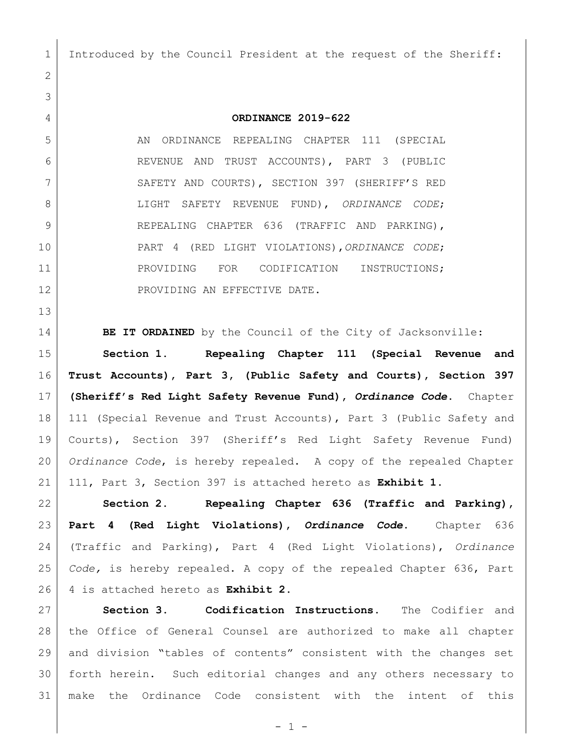Introduced by the Council President at the request of the Sheriff:

## **ORDINANCE 2019-622**

 AN ORDINANCE REPEALING CHAPTER 111 (SPECIAL REVENUE AND TRUST ACCOUNTS), PART 3 (PUBLIC 7 SAFETY AND COURTS), SECTION 397 (SHERIFF'S RED LIGHT SAFETY REVENUE FUND), *ORDINANCE CODE*; 9 REPEALING CHAPTER 636 (TRAFFIC AND PARKING), PART 4 (RED LIGHT VIOLATIONS),*ORDINANCE CODE*; 11 PROVIDING FOR CODIFICATION INSTRUCTIONS; 12 PROVIDING AN EFFECTIVE DATE.

**BE IT ORDAINED** by the Council of the City of Jacksonville:

 **Section 1. Repealing Chapter 111 (Special Revenue and Trust Accounts), Part 3, (Public Safety and Courts), Section 397 (Sheriff's Red Light Safety Revenue Fund),** *Ordinance Code***.** Chapter 18 | 111 (Special Revenue and Trust Accounts), Part 3 (Public Safety and Courts), Section 397 (Sheriff's Red Light Safety Revenue Fund) *Ordinance Code*, is hereby repealed. A copy of the repealed Chapter 111, Part 3, Section 397 is attached hereto as **Exhibit 1**.

 **Section 2. Repealing Chapter 636 (Traffic and Parking), Part 4 (Red Light Violations),** *Ordinance Code***.** Chapter 636 (Traffic and Parking), Part 4 (Red Light Violations), *Ordinance Code,* is hereby repealed. A copy of the repealed Chapter 636, Part 4 is attached hereto as **Exhibit 2.**

 **Section 3. Codification Instructions.** The Codifier and the Office of General Counsel are authorized to make all chapter and division "tables of contents" consistent with the changes set forth herein. Such editorial changes and any others necessary to make the Ordinance Code consistent with the intent of this